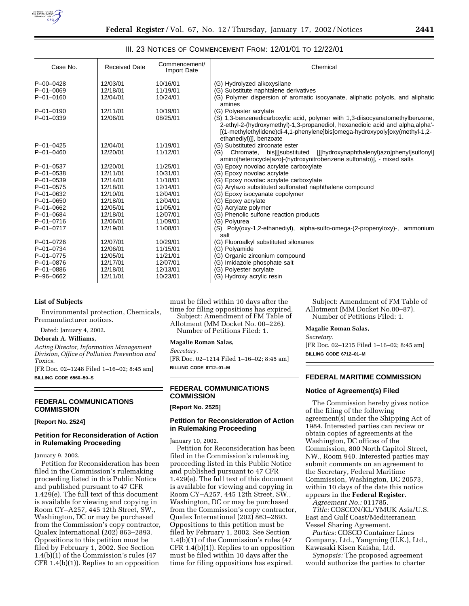

### III. 23 NOTICES OF COMMENCEMENT FROM: 12/01/01 TO 12/22/01

| Case No.        | <b>Received Date</b> | Commencement/<br><b>Import Date</b> | Chemical                                                                                                                                                                                                                                                                 |
|-----------------|----------------------|-------------------------------------|--------------------------------------------------------------------------------------------------------------------------------------------------------------------------------------------------------------------------------------------------------------------------|
| $P - 00 - 0428$ | 12/03/01             | 10/16/01                            | (G) Hydrolyzed alkoxysilane                                                                                                                                                                                                                                              |
| $P - 01 - 0069$ | 12/18/01             | 11/19/01                            | (G) Substitute naphtalene derivatives                                                                                                                                                                                                                                    |
| $P - 01 - 0160$ | 12/04/01             | 10/24/01                            | (G) Polymer dispersion of aromatic isocyanate, aliphatic polyols, and aliphatic<br>amines                                                                                                                                                                                |
| $P - 01 - 0190$ | 12/11/01             | 10/19/01                            | (G) Polyester acrylate                                                                                                                                                                                                                                                   |
| $P - 01 - 0339$ | 12/06/01             | 08/25/01                            | (S) 1,3-benzenedicarboxylic acid, polymer with 1,3-diisocyanatomethylbenzene,<br>2-ethyl-2-(hydroxymethyl)-1,3-propanediol, hexanedioic acid and alpha,alpha'-<br>[(1-methylethylidene)di-4,1-phenylene]bis[omega-hydroxypoly[oxy(methyl-1,2-<br>ethanediyl)]], benzoate |
| $P - 01 - 0425$ | 12/04/01             | 11/19/01                            | (G) Substituted zirconate ester                                                                                                                                                                                                                                          |
| $P - 01 - 0460$ | 12/20/01             | 11/12/01                            | [[[hydroxynaphthalenyl)azo]phenyl]sulfonyl]<br>Chromate, bis [[substituted]<br>(G)<br>amino]heterocycle]azo]-(hydroxynitrobenzene sulfonato)], - mixed salts                                                                                                             |
| $P - 01 - 0537$ | 12/20/01             | 11/25/01                            | (G) Epoxy novolac acrylate carboxylate                                                                                                                                                                                                                                   |
| $P - 01 - 0538$ | 12/11/01             | 10/31/01                            | (G) Epoxy novolac acrylate                                                                                                                                                                                                                                               |
| $P - 01 - 0539$ | 12/14/01             | 11/18/01                            | (G) Epoxy novolac acrylate carboxylate                                                                                                                                                                                                                                   |
| $P - 01 - 0575$ | 12/18/01             | 12/14/01                            | (G) Arylazo substituted sulfonated naphthalene compound                                                                                                                                                                                                                  |
| $P - 01 - 0632$ | 12/10/01             | 12/04/01                            | (G) Epoxy isocyanate copolymer                                                                                                                                                                                                                                           |
| $P - 01 - 0650$ | 12/18/01             | 12/04/01                            | (G) Epoxy acrylate                                                                                                                                                                                                                                                       |
| $P - 01 - 0662$ | 12/05/01             | 11/05/01                            | (G) Acrylate polymer                                                                                                                                                                                                                                                     |
| $P - 01 - 0684$ | 12/18/01             | 12/07/01                            | (G) Phenolic sulfone reaction products                                                                                                                                                                                                                                   |
| $P - 01 - 0716$ | 12/06/01             | 11/09/01                            | (G) Polvurea                                                                                                                                                                                                                                                             |
| P-01-0717       | 12/19/01             | 11/08/01                            | (S) Poly(oxy-1,2-ethanediyl), alpha-sulfo-omega-(2-propenyloxy)-, ammonium<br>salt                                                                                                                                                                                       |
| $P - 01 - 0726$ | 12/07/01             | 10/29/01                            | (G) Fluoroalkyl substituted siloxanes                                                                                                                                                                                                                                    |
| $P - 01 - 0734$ | 12/06/01             | 11/15/01                            | (G) Polyamide                                                                                                                                                                                                                                                            |
| $P - 01 - 0775$ | 12/05/01             | 11/21/01                            | (G) Organic zirconium compound                                                                                                                                                                                                                                           |
| $P - 01 - 0876$ | 12/17/01             | 12/07/01                            | (G) Imidazole phosphate salt                                                                                                                                                                                                                                             |
| $P - 01 - 0886$ | 12/18/01             | 12/13/01                            | (G) Polyester acrylate                                                                                                                                                                                                                                                   |
| P-96-0662       | 12/11/01             | 10/23/01                            | (G) Hydroxy acrylic resin                                                                                                                                                                                                                                                |

### **List of Subjects**

Environmental protection, Chemicals, Premanufacturer notices.

Dated: January 4, 2002.

#### **Deborah A. Williams,**

*Acting Director, Information Management Division, Office of Pollution Prevention and Toxics.*

[FR Doc. 02–1248 Filed 1–16–02; 8:45 am] **BILLING CODE 6560–50–S**

### **FEDERAL COMMUNICATIONS COMMISSION**

#### **[Report No. 2524]**

# **Petition for Reconsideration of Action in Rulemaking Proceeding**

### January 9, 2002.

Petition for Reconsideration has been filed in the Commission's rulemaking proceeding listed in this Public Notice and published pursuant to 47 CFR 1.429(e). The full text of this document is available for viewing and copying in Room CY–A257, 445 12th Street, SW., Washington, DC or may be purchased from the Commission's copy contractor, Qualex International (202) 863–2893. Oppositions to this petition must be filed by February 1, 2002. See Section 1.4(b)(1) of the Commission's rules (47 CFR 1.4(b)(1)). Replies to an opposition

must be filed within 10 days after the time for filing oppositions has expired. Subject: Amendment of FM Table of

Allotment (MM Docket No. 00–226). Number of Petitions Filed: 1.

### **Magalie Roman Salas,**

*Secretary.*

[FR Doc. 02–1214 Filed 1–16–02; 8:45 am] **BILLING CODE 6712–01–M**

# **FEDERAL COMMUNICATIONS COMMISSION**

# **[Report No. 2525]**

# **Petition for Reconsideration of Action in Rulemaking Proceeding**

January 10, 2002.

Petition for Reconsideration has been filed in the Commission's rulemaking proceeding listed in this Public Notice and published pursuant to 47 CFR 1.429(e). The full text of this document is available for viewing and copying in Room CY–A257, 445 12th Street, SW., Washington, DC or may be purchased from the Commission's copy contractor, Qualex International (202) 863–2893. Oppositions to this petition must be filed by February 1, 2002. See Section 1.4(b)(1) of the Commission's rules (47 CFR 1.4(b)(1)). Replies to an opposition must be filed within 10 days after the time for filing oppositions has expired.

Subject: Amendment of FM Table of Allotment (MM Docket No.00–87). Number of Petitions Filed: 1.

#### **Magalie Roman Salas,**

*Secretary.* [FR Doc. 02–1215 Filed 1–16–02; 8:45 am] **BILLING CODE 6712–01–M**

# **FEDERAL MARITIME COMMISSION**

### **Notice of Agreement(s) Filed**

The Commission hereby gives notice of the filing of the following agreement(s) under the Shipping Act of 1984. Interested parties can review or obtain copies of agreements at the Washington, DC offices of the Commission, 800 North Capitol Street, NW., Room 940. Interested parties may submit comments on an agreement to the Secretary, Federal Maritime Commission, Washington, DC 20573, within 10 days of the date this notice appears in the **Federal Register**.

*Agreement No.:* 011785.

*Title:* COSCON/KL/YMUK Asia/U.S. East and Gulf Coast/Mediterranean Vessel Sharing Agreement.

*Parties:* COSCO Container Lines Company, Ltd., Yangming (U.K.), Ltd., Kawasaki Kisen Kaisha, Ltd.

*Synopsis:* The proposed agreement would authorize the parties to charter